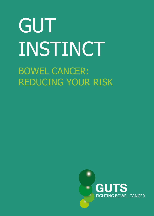# GUT INSTINCT BOWEL CANCER: REDUCING YOUR RISK

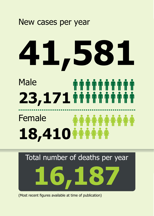#### New cases per year

## **41,581** Male ########## **23,171** Female **18,410**

Total number of deaths per year



(Most recent figures available at time of publication)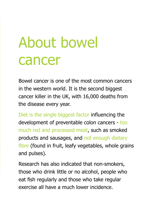### About bowel cancer

Bowel cancer is one of the most common cancers in the western world. It is the second biggest cancer killer in the UK, with 16,000 deaths from the disease every year.

Diet is the single biggest factor influencing the development of preventable colon cancers - too much red and processed meat, such as smoked products and sausages, and not enough dietary fibre (found in fruit, leafy vegetables, whole grains and pulses).

Research has also indicated that non-smokers, those who drink little or no alcohol, people who eat fish regularly and those who take regular exercise all have a much lower incidence.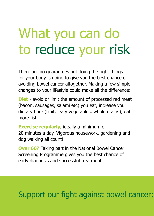### What you can do to reduce your risk

There are no guarantees but doing the right things for your body is going to give you the best chance of avoiding bowel cancer altogether. Making a few simple changes to your lifestyle could make all the difference:

**Diet** - avoid or limit the amount of processed red meat (bacon, sausages, salami etc) you eat, increase your dietary fibre (fruit, leafy vegetables, whole grains), eat more fish.

**Exercise regularly**, ideally a minimum of 20 minutes a day. Vigorous housework, gardening and dog walking all count!

**Over 60?** Taking part in the National Bowel Cancer Screening Programme gives you the best chance of early diagnosis and successful treatment.

#### Support our fight against bowel cancer: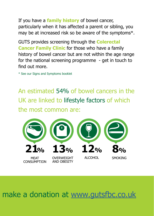If you have a **family history** of bowel cancer, particularly when it has affected a parent or sibling, you may be at increased risk so be aware of the symptoms\*.

GUTS provides screening through the **Colerectal Cancer Family Clinic** for those who have a family history of bowel cancer but are not within the age range for the national screening programme - get in touch to find out more.

\* See our Signs and Symptoms booklet

An estimated 54% of bowel cancers in the UK are linked to lifestyle factors of which the most common are:



make a donation at www.gutsfbc.co.uk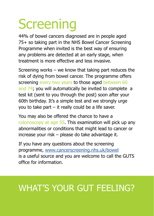### **Screening**

44% of bowel cancers diagnosed are in people aged 75+ so taking part in the NHS Bowel Cancer Screening Programme when invited is the best way of ensuring any problems are detected at an early stage, when treatment is more effective and less invasive.

Screening works – we know that taking part reduces the risk of dying from bowel cancer. The programme offers screening every two years to those aged between 60 and 74; you will automatically be invited to complete a test kit (sent to you through the post) soon after your 60th birthday. It's a simple test and we strongly urge you to take part – it really could be a life saver.

You may also be offered the chance to have a colonoscopy at age 55. This examination will pick up any abnormalities or conditions that might lead to cancer or increase your risk – please do take advantage it.

If you have any questions about the screening programme, www.cancerscreening.nhs.uk/bowel is a useful source and you are welcome to call the GUTS office for information.

#### WHAT'S YOUR GUT FEELING?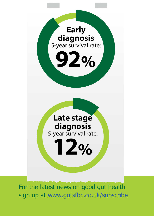

For the latest news on good gut health sign up at www.gutsfbc.co.uk/subscribe